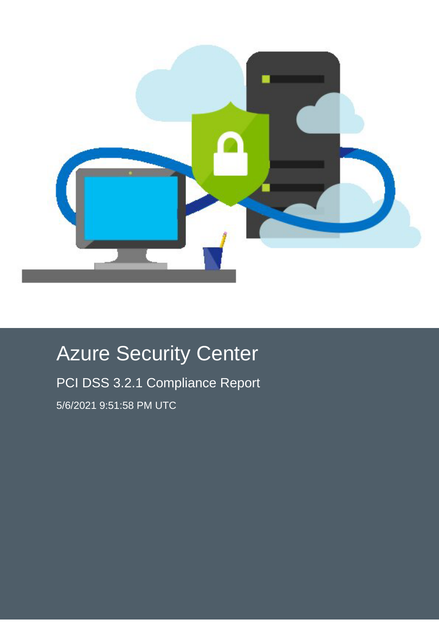

# Azure Security Center

PCI DSS 3.2.1 Compliance Report 5/6/2021 9:51:58 PM UTC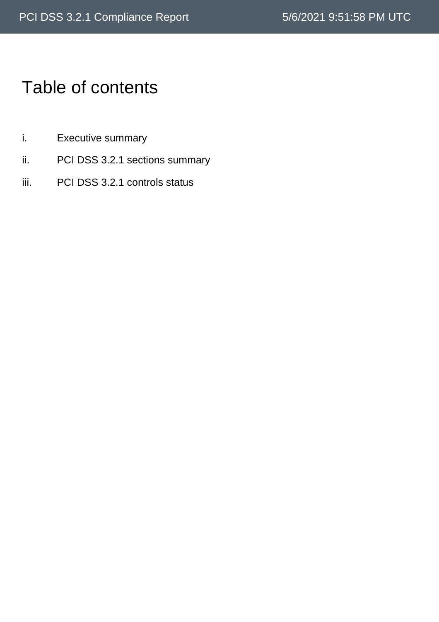# Table of contents

- i. Executive summary
- ii. PCI DSS 3.2.1 sections summary
- iii. PCI DSS 3.2.1 controls status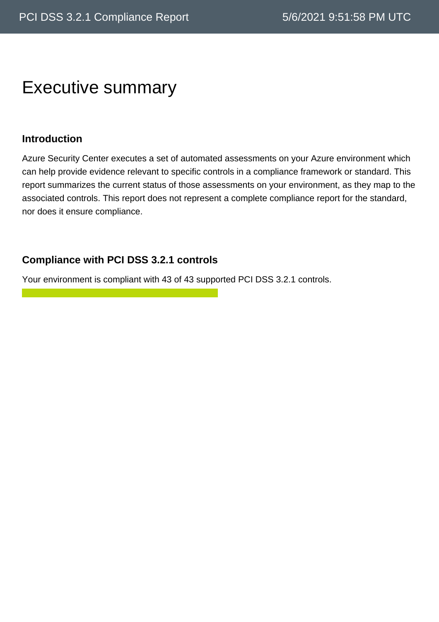# Executive summary

#### **Introduction**

Azure Security Center executes a set of automated assessments on your Azure environment which can help provide evidence relevant to specific controls in a compliance framework or standard. This report summarizes the current status of those assessments on your environment, as they map to the associated controls. This report does not represent a complete compliance report for the standard, nor does it ensure compliance.

#### **Compliance with PCI DSS 3.2.1 controls**

Your environment is compliant with 43 of 43 supported PCI DSS 3.2.1 controls.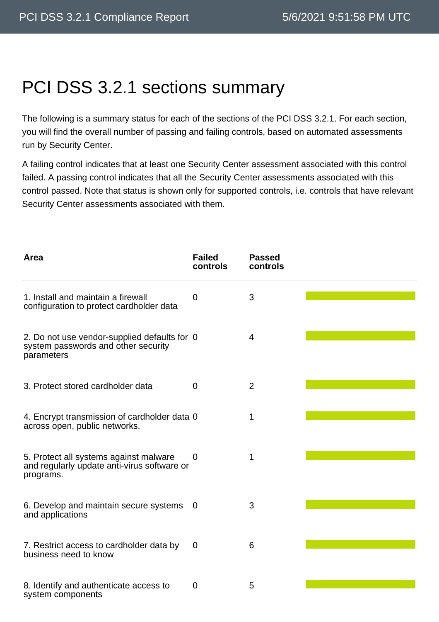# PCI DSS 3.2.1 sections summary

The following is a summary status for each of the sections of the PCI DSS 3.2.1. For each section, you will find the overall number of passing and failing controls, based on automated assessments run by Security Center.

A failing control indicates that at least one Security Center assessment associated with this control failed. A passing control indicates that all the Security Center assessments associated with this control passed. Note that status is shown only for supported controls, i.e. controls that have relevant Security Center assessments associated with them.

| Area                                                                                               | <b>Failed</b><br>controls | <b>Passed</b><br>controls |  |
|----------------------------------------------------------------------------------------------------|---------------------------|---------------------------|--|
| 1. Install and maintain a firewall<br>configuration to protect cardholder data                     | 0                         | 3                         |  |
| 2. Do not use vendor-supplied defaults for 0<br>system passwords and other security<br>parameters  |                           | $\overline{4}$            |  |
| 3. Protect stored cardholder data                                                                  | 0                         | $\overline{2}$            |  |
| 4. Encrypt transmission of cardholder data 0<br>across open, public networks.                      |                           | 1                         |  |
| 5. Protect all systems against malware<br>and regularly update anti-virus software or<br>programs. | 0                         | 1                         |  |
| 6. Develop and maintain secure systems<br>and applications                                         | 0                         | 3                         |  |
| 7. Restrict access to cardholder data by<br>business need to know                                  | $\mathbf 0$               | 6                         |  |
| 8. Identify and authenticate access to<br>system components                                        | 0                         | 5                         |  |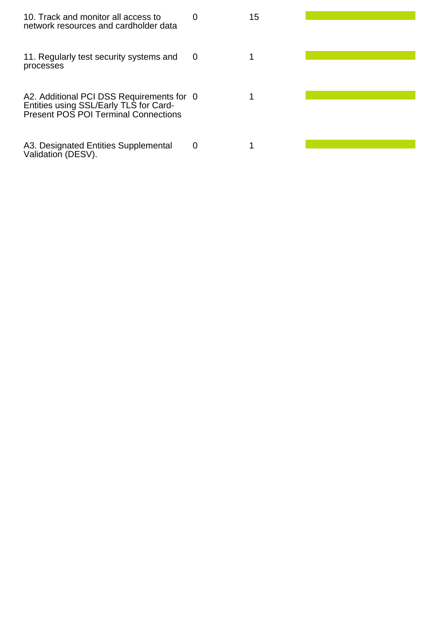| 10. Track and monitor all access to<br>network resources and cardholder data                                                | $\mathbf{\Omega}$ | 15 |  |
|-----------------------------------------------------------------------------------------------------------------------------|-------------------|----|--|
| 11. Regularly test security systems and<br>processes                                                                        | 0                 |    |  |
| A2. Additional PCI DSS Requirements for 0<br>Entities using SSL/Early TLS for Card-<br>Present POS POI Terminal Connections |                   |    |  |
| A3. Designated Entities Supplemental<br>Validation (DESV).                                                                  | 0                 |    |  |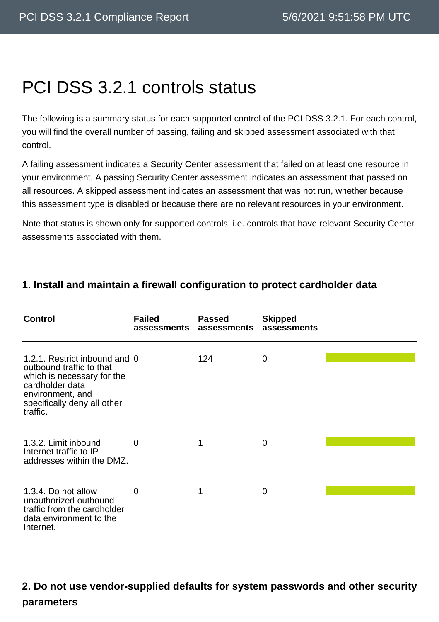# PCI DSS 3.2.1 controls status

The following is a summary status for each supported control of the PCI DSS 3.2.1. For each control, you will find the overall number of passing, failing and skipped assessment associated with that control.

A failing assessment indicates a Security Center assessment that failed on at least one resource in your environment. A passing Security Center assessment indicates an assessment that passed on all resources. A skipped assessment indicates an assessment that was not run, whether because this assessment type is disabled or because there are no relevant resources in your environment.

Note that status is shown only for supported controls, i.e. controls that have relevant Security Center assessments associated with them.

#### **1. Install and maintain a firewall configuration to protect cardholder data**

| <b>Control</b>                                                                                                                                                            | <b>Failed</b><br>assessments | <b>Passed</b><br>assessments | <b>Skipped</b><br>assessments |  |
|---------------------------------------------------------------------------------------------------------------------------------------------------------------------------|------------------------------|------------------------------|-------------------------------|--|
| 1.2.1. Restrict inbound and 0<br>outbound traffic to that<br>which is necessary for the<br>cardholder data<br>environment, and<br>specifically deny all other<br>traffic. |                              | 124                          | $\mathbf 0$                   |  |
| 1.3.2. Limit inbound<br>Internet traffic to IP<br>addresses within the DMZ.                                                                                               | $\overline{0}$               |                              | $\overline{0}$                |  |
| 1.3.4. Do not allow<br>unauthorized outbound<br>traffic from the cardholder<br>data environment to the<br>Internet.                                                       | 0                            |                              | 0                             |  |

### **2. Do not use vendor-supplied defaults for system passwords and other security parameters**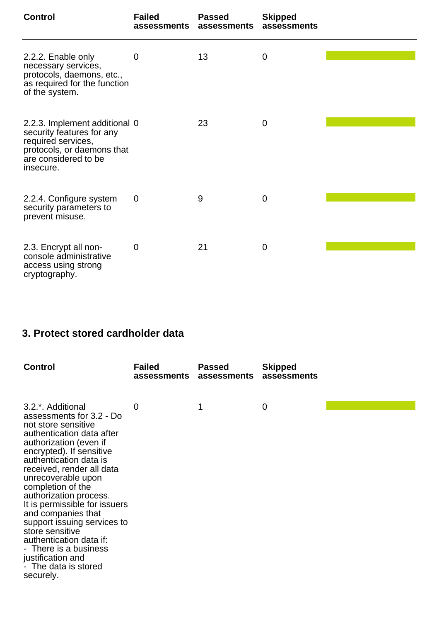| <b>Control</b>                                                                                                                                      | <b>Failed</b><br>assessments | <b>Passed</b><br>assessments | <b>Skipped</b><br>assessments |  |
|-----------------------------------------------------------------------------------------------------------------------------------------------------|------------------------------|------------------------------|-------------------------------|--|
| 2.2.2. Enable only<br>necessary services,<br>protocols, daemons, etc.,<br>as required for the function<br>of the system.                            | 0                            | 13                           | 0                             |  |
| 2.2.3. Implement additional 0<br>security features for any<br>required services,<br>protocols, or daemons that<br>are considered to be<br>insecure. |                              | 23                           | 0                             |  |
| 2.2.4. Configure system<br>security parameters to<br>prevent misuse.                                                                                | $\overline{0}$               | 9                            | $\mathbf 0$                   |  |
| 2.3. Encrypt all non-<br>console administrative<br>access using strong<br>cryptography.                                                             | $\mathbf 0$                  | 21                           | $\mathbf 0$                   |  |

### **3. Protect stored cardholder data**

| <b>Control</b>                                                                                                                                                                                                                                                                                                                                                                                                                                                                                                         | <b>Failed</b><br>assessments | <b>Passed</b><br>assessments | <b>Skipped</b><br>assessments |  |
|------------------------------------------------------------------------------------------------------------------------------------------------------------------------------------------------------------------------------------------------------------------------------------------------------------------------------------------------------------------------------------------------------------------------------------------------------------------------------------------------------------------------|------------------------------|------------------------------|-------------------------------|--|
| 3.2 <sup>*</sup> . Additional<br>assessments for 3.2 - Do<br>not store sensitive<br>authentication data after<br>authorization (even if<br>encrypted). If sensitive<br>authentication data is<br>received, render all data<br>unrecoverable upon<br>completion of the<br>authorization process.<br>It is permissible for issuers<br>and companies that<br>support issuing services to<br>store sensitive<br>authentication data if:<br>- There is a business<br>justification and<br>- The data is stored<br>securely. | 0                            | 1                            | 0                             |  |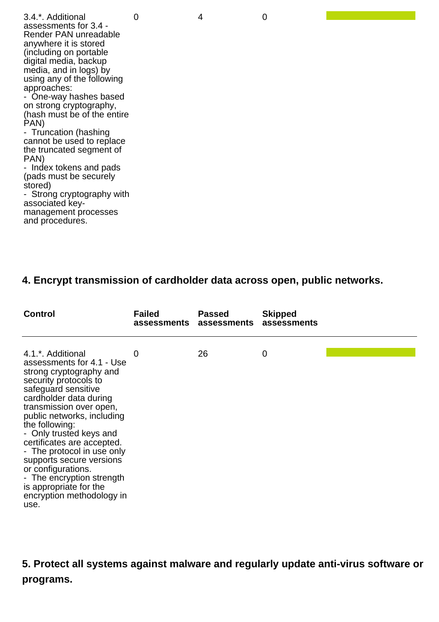3.4.\*. Additional assessments for 3.4 - Render PAN unreadable anywhere it is stored (including on portable digital media, backup media, and in logs) by using any of the following approaches: - One-way hashes based on strong cryptography, (hash must be of the entire PAN) - Truncation (hashing cannot be used to replace the truncated segment of PAN) - Index tokens and pads (pads must be securely stored) - Strong cryptography with

associated keymanagement processes and procedures.

#### **4. Encrypt transmission of cardholder data across open, public networks.**

| <b>Control</b>                                                                                                                                                                                                                                                                                                                                                                                                                                                      | <b>Failed</b><br>assessments | <b>Passed</b><br>assessments | <b>Skipped</b><br>assessments |  |
|---------------------------------------------------------------------------------------------------------------------------------------------------------------------------------------------------------------------------------------------------------------------------------------------------------------------------------------------------------------------------------------------------------------------------------------------------------------------|------------------------------|------------------------------|-------------------------------|--|
| 4.1.*. Additional<br>assessments for 4.1 - Use<br>strong cryptography and<br>security protocols to<br>safeguard sensitive<br>cardholder data during<br>transmission over open,<br>public networks, including<br>the following:<br>- Only trusted keys and<br>certificates are accepted.<br>- The protocol in use only<br>supports secure versions<br>or configurations.<br>- The encryption strength<br>is appropriate for the<br>encryption methodology in<br>use. | O                            | 26                           | 0                             |  |

**5. Protect all systems against malware and regularly update anti-virus software or programs.**

0 4 0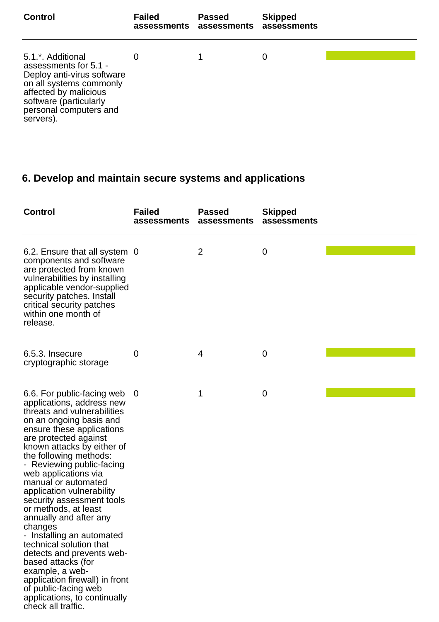| <b>Control</b>                                                                                                                                                                                            | <b>Failed</b><br>assessments assessments | <b>Passed</b> | <b>Skipped</b><br>assessments |  |
|-----------------------------------------------------------------------------------------------------------------------------------------------------------------------------------------------------------|------------------------------------------|---------------|-------------------------------|--|
| 5.1 <sup>*</sup> . Additional<br>assessments for 5.1 -<br>Deploy anti-virus software<br>on all systems commonly<br>affected by malicious<br>software (particularly<br>personal computers and<br>servers). |                                          |               | 0                             |  |

# **6. Develop and maintain secure systems and applications**

| <b>Control</b>                                                                                                                                                                                                                                                                                                                                                                                                                                                                                                                                                                                                                                                                 | <b>Failed</b><br>assessments | <b>Passed</b><br>assessments | <b>Skipped</b><br>assessments |  |
|--------------------------------------------------------------------------------------------------------------------------------------------------------------------------------------------------------------------------------------------------------------------------------------------------------------------------------------------------------------------------------------------------------------------------------------------------------------------------------------------------------------------------------------------------------------------------------------------------------------------------------------------------------------------------------|------------------------------|------------------------------|-------------------------------|--|
| 6.2. Ensure that all system 0<br>components and software<br>are protected from known<br>vulnerabilities by installing<br>applicable vendor-supplied<br>security patches. Install<br>critical security patches<br>within one month of<br>release.                                                                                                                                                                                                                                                                                                                                                                                                                               |                              | $\overline{2}$               | 0                             |  |
| 6.5.3. Insecure<br>cryptographic storage                                                                                                                                                                                                                                                                                                                                                                                                                                                                                                                                                                                                                                       | 0                            | 4                            | $\boldsymbol{0}$              |  |
| 6.6. For public-facing web<br>applications, address new<br>threats and vulnerabilities<br>on an ongoing basis and<br>ensure these applications<br>are protected against<br>known attacks by either of<br>the following methods:<br>- Reviewing public-facing<br>web applications via<br>manual or automated<br>application vulnerability<br>security assessment tools<br>or methods, at least<br>annually and after any<br>changes<br>Installing an automated<br>technical solution that<br>detects and prevents web-<br>based attacks (for<br>example, a web-<br>application firewall) in front<br>of public-facing web<br>applications, to continually<br>check all traffic. | 0                            | 1                            | 0                             |  |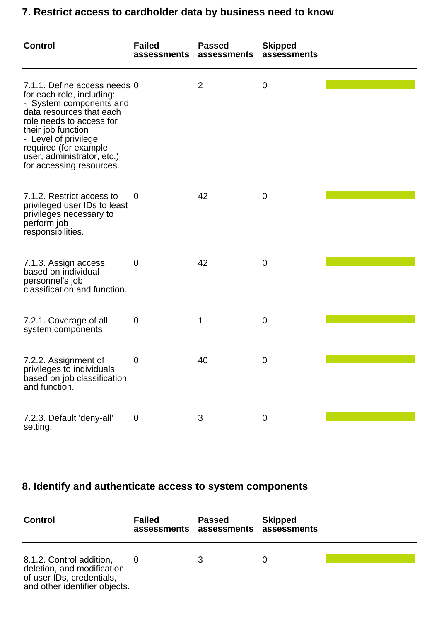### **7. Restrict access to cardholder data by business need to know**

| <b>Control</b>                                                                                                                                                                                                                                                                 | <b>Failed</b><br>assessments | <b>Passed</b><br>assessments | <b>Skipped</b><br>assessments |  |
|--------------------------------------------------------------------------------------------------------------------------------------------------------------------------------------------------------------------------------------------------------------------------------|------------------------------|------------------------------|-------------------------------|--|
| 7.1.1. Define access needs 0<br>for each role, including:<br>- System components and<br>data resources that each<br>role needs to access for<br>their job function<br>- Level of privilege<br>required (for example,<br>user, administrator, etc.)<br>for accessing resources. |                              | $\overline{2}$               | 0                             |  |
| 7.1.2. Restrict access to<br>privileged user IDs to least<br>privileges necessary to<br>perform job<br>responsibilities.                                                                                                                                                       | 0                            | 42                           | $\mathbf 0$                   |  |
| 7.1.3. Assign access<br>based on individual<br>personnel's job<br>classification and function.                                                                                                                                                                                 | 0                            | 42                           | 0                             |  |
| 7.2.1. Coverage of all<br>system components                                                                                                                                                                                                                                    | 0                            | 1                            | 0                             |  |
| 7.2.2. Assignment of<br>privileges to individuals<br>based on job classification<br>and function.                                                                                                                                                                              | 0                            | 40                           | 0                             |  |
| 7.2.3. Default 'deny-all'<br>setting.                                                                                                                                                                                                                                          | $\mathbf 0$                  | 3                            | $\mathbf 0$                   |  |

## **8. Identify and authenticate access to system components**

| <b>Control</b>                                                                                                       | <b>Failed</b> | <b>Passed</b><br>assessments assessments assessments | <b>Skipped</b> |
|----------------------------------------------------------------------------------------------------------------------|---------------|------------------------------------------------------|----------------|
| 8.1.2. Control addition,<br>deletion, and modification<br>of user IDs, credentials.<br>and other identifier objects. |               |                                                      |                |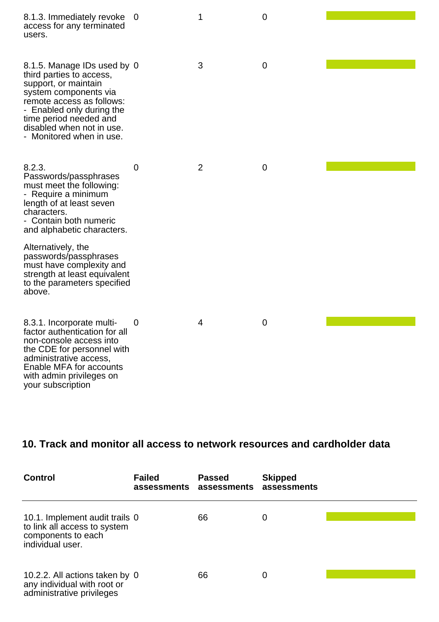| 8.1.3. Immediately revoke<br>access for any terminated<br>users.                                                                                                                                                                                      | $\mathbf 0$    | 1              | $\overline{0}$ |  |
|-------------------------------------------------------------------------------------------------------------------------------------------------------------------------------------------------------------------------------------------------------|----------------|----------------|----------------|--|
| 8.1.5. Manage IDs used by 0<br>third parties to access,<br>support, or maintain<br>system components via<br>remote access as follows:<br>- Enabled only during the<br>time period needed and<br>disabled when not in use.<br>- Monitored when in use. |                | 3              | $\mathbf 0$    |  |
| 8.2.3.<br>Passwords/passphrases<br>must meet the following:<br>- Require a minimum<br>length of at least seven<br>characters.<br>- Contain both numeric<br>and alphabetic characters.                                                                 | $\overline{0}$ | $\overline{2}$ | $\mathbf 0$    |  |
| Alternatively, the<br>passwords/passphrases<br>must have complexity and<br>strength at least equivalent<br>to the parameters specified<br>above.                                                                                                      |                |                |                |  |
| 8.3.1. Incorporate multi-<br>factor authentication for all<br>non-console access into<br>the CDE for personnel with<br>administrative access,<br>Enable MFA for accounts<br>with admin privileges on<br>your subscription                             | $\overline{0}$ | 4              | $\mathbf 0$    |  |

### **10. Track and monitor all access to network resources and cardholder data**

| <b>Control</b>                                                                                           | <b>Failed</b><br>assessments assessments | <b>Passed</b> | <b>Skipped</b><br>assessments |  |
|----------------------------------------------------------------------------------------------------------|------------------------------------------|---------------|-------------------------------|--|
| 10.1. Implement audit trails 0<br>to link all access to system<br>components to each<br>individual user. |                                          | 66            | 0                             |  |
| 10.2.2. All actions taken by 0<br>any individual with root or<br>administrative privileges               |                                          | 66            | 0                             |  |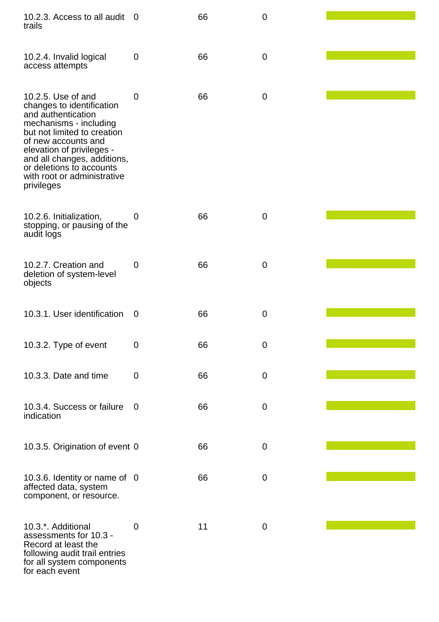| 10.2.3. Access to all audit<br>trails                                                                                                                                                                                                                                                      | $\Omega$    | 66 | $\mathbf 0$ |  |
|--------------------------------------------------------------------------------------------------------------------------------------------------------------------------------------------------------------------------------------------------------------------------------------------|-------------|----|-------------|--|
| 10.2.4. Invalid logical<br>access attempts                                                                                                                                                                                                                                                 | $\mathbf 0$ | 66 | $\mathbf 0$ |  |
| 10.2.5. Use of and<br>changes to identification<br>and authentication<br>mechanisms - including<br>but not limited to creation<br>of new accounts and<br>elevation of privileges -<br>and all changes, additions,<br>or deletions to accounts<br>with root or administrative<br>privileges | $\mathbf 0$ | 66 | $\mathbf 0$ |  |
| 10.2.6. Initialization,<br>stopping, or pausing of the<br>audit logs                                                                                                                                                                                                                       | 0           | 66 | $\mathbf 0$ |  |
| 10.2.7. Creation and<br>deletion of system-level<br>objects                                                                                                                                                                                                                                | $\mathbf 0$ | 66 | $\mathbf 0$ |  |
| 10.3.1. User identification                                                                                                                                                                                                                                                                | 0           | 66 | $\mathbf 0$ |  |
| 10.3.2. Type of event                                                                                                                                                                                                                                                                      | $\mathbf 0$ | 66 | $\mathbf 0$ |  |
| 10.3.3. Date and time                                                                                                                                                                                                                                                                      | $\mathbf 0$ | 66 | $\mathbf 0$ |  |
| 10.3.4. Success or failure<br>indication                                                                                                                                                                                                                                                   | $\mathbf 0$ | 66 | $\mathbf 0$ |  |
| 10.3.5. Origination of event 0                                                                                                                                                                                                                                                             |             | 66 | $\mathbf 0$ |  |
| 10.3.6. Identity or name of 0<br>affected data, system<br>component, or resource.                                                                                                                                                                                                          |             | 66 | $\mathbf 0$ |  |
| 10.3.*. Additional<br>assessments for 10.3 -<br>Record at least the<br>following audit trail entries<br>for all system components<br>for each event                                                                                                                                        | 0           | 11 | $\mathbf 0$ |  |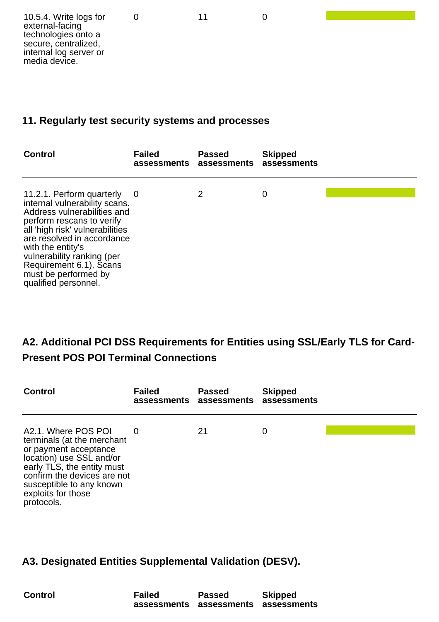#### **11. Regularly test security systems and processes**

| <b>Control</b>                                                                                                                                                                                                                                                                                                        | <b>Failed</b><br>assessments assessments | <b>Passed</b> | <b>Skipped</b><br>assessments |  |
|-----------------------------------------------------------------------------------------------------------------------------------------------------------------------------------------------------------------------------------------------------------------------------------------------------------------------|------------------------------------------|---------------|-------------------------------|--|
| 11.2.1. Perform quarterly<br>internal vulnerability scans.<br>Address vulnerabilities and<br>perform rescans to verify<br>all 'high risk' vulnerabilities<br>are resolved in accordance<br>with the entity's<br>vulnerability ranking (per<br>Requirement 6.1). Scans<br>must be performed by<br>qualified personnel. | 0                                        | 2             | 0                             |  |

### **A2. Additional PCI DSS Requirements for Entities using SSL/Early TLS for Card-Present POS POI Terminal Connections**

| <b>Control</b>                                                                                                                                                                                                                      | <b>Failed</b><br>assessments assessments | <b>Passed</b> | <b>Skipped</b><br>assessments |  |
|-------------------------------------------------------------------------------------------------------------------------------------------------------------------------------------------------------------------------------------|------------------------------------------|---------------|-------------------------------|--|
| A2.1. Where POS POI<br>terminals (at the merchant<br>or payment acceptance<br>location) use SSL and/or<br>early TLS, the entity must<br>confirm the devices are not<br>susceptible to any known<br>exploits for those<br>protocols. | 0                                        | 21            | 0                             |  |

#### **A3. Designated Entities Supplemental Validation (DESV).**

| <b>Control</b> | Failed | <b>Passed</b>                       | <b>Skipped</b> |
|----------------|--------|-------------------------------------|----------------|
|                |        |                                     |                |
|                |        | assessments assessments assessments |                |
|                |        |                                     |                |